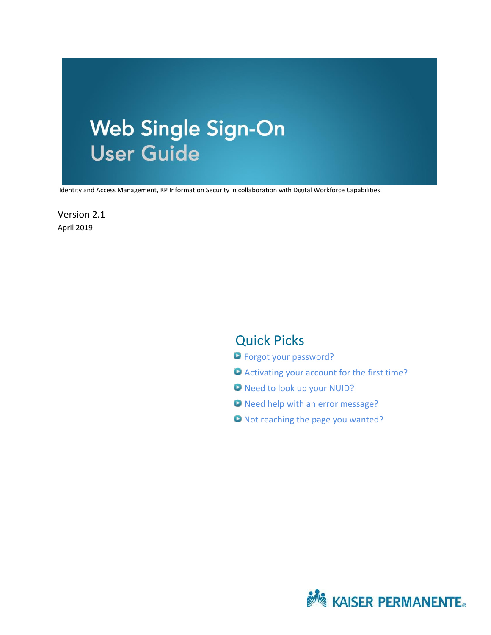# **Web Single Sign-On User Guide**

Identity and Access Management, KP Information Security in collaboration with Digital Workforce Capabilities

Version 2.1 April 2019

## Quick Picks

- [Forgot your password?](#page-8-0)
- [Activating your account for the first time?](#page-4-0)
- [Need to look up your NUID?](#page-16-0)
- O [Need help with an error message?](#page-18-0)
- [Not reaching the page you wanted?](#page-18-0)

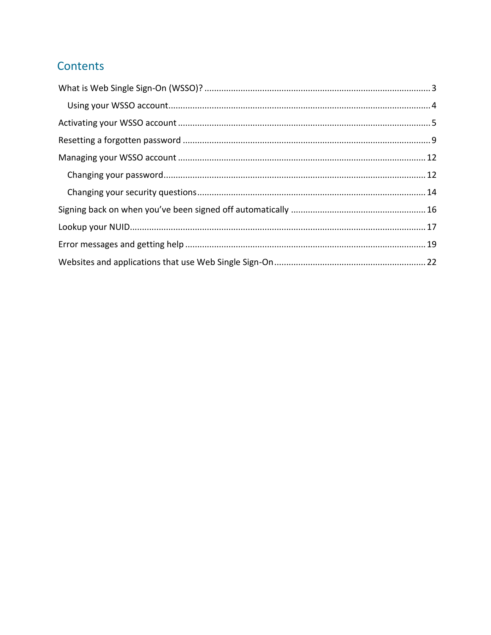# Contents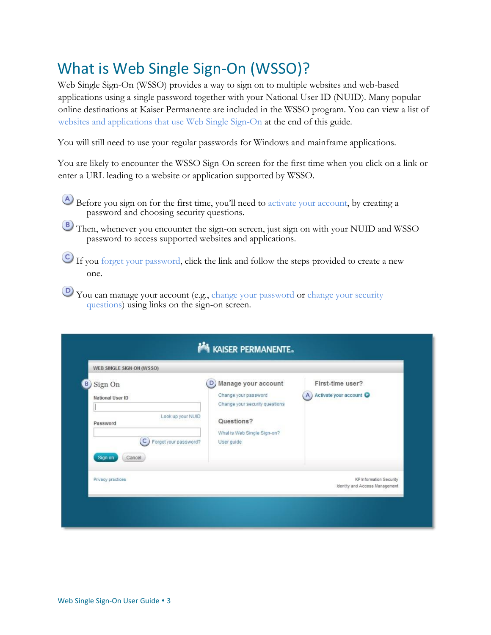# <span id="page-2-0"></span>What is Web Single Sign-On (WSSO)?

Web Single Sign-On (WSSO) provides a way to sign on to multiple websites and web-based applications using a single password together with your National User ID (NUID). Many popular online destinations at Kaiser Permanente are included in the WSSO program. You can view a list of websites and applications that use Web Single Sign-On at the end of this guide.

You will still need to use your regular passwords for Windows and mainframe applications.

You are likely to encounter the WSSO Sign-On screen for the first time when you click on a link or enter a URL leading to a website or application supported by WSSO.

- Before you sign on for the first time, you'll need to activate your account, by creating a password and choosing security questions.
- **B**) Then, whenever you encounter the sign-on screen, just sign on with your NUID and WSSO password to access supported websites and applications.
- If you forget your password, click the link and follow the steps provided to create a new one.
- You can manage your account (e.g., change your password or change your security questions) using links on the sign-on screen.

| WEB SINGLE SIGN-ON (WSSO)                                                                                                    |                                                                                                                                               |                                                                  |
|------------------------------------------------------------------------------------------------------------------------------|-----------------------------------------------------------------------------------------------------------------------------------------------|------------------------------------------------------------------|
| Sign On<br>National User ID<br>Look up your NUID<br>Password<br>$\overline{c}$<br>Forgot your password?<br>Sign on<br>Cancel | Manage your account<br>D<br>Change your password<br>Change your security questions<br>Questions?<br>What is Web Single Sign-on?<br>User guide | First-time user?<br>A) Activate your account                     |
| Privacy practices                                                                                                            |                                                                                                                                               | <b>KP</b> Information Security<br>Identity and Access Management |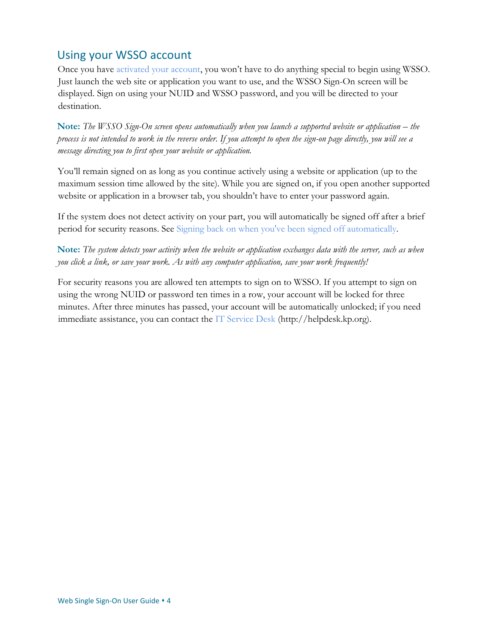## <span id="page-3-0"></span>Using your WSSO account

Once you have activated your account, you won't have to do anything special to begin using WSSO. Just launch the web site or application you want to use, and the WSSO Sign-On screen will be displayed. Sign on using your NUID and WSSO password, and you will be directed to your destination.

**Note:** The WSSO Sign-On screen opens automatically when you launch a supported website or application – the *process is not intended to work in the reverse order. If you attempt to open the sign-on page directly, you will see a message directing you to first open your website or application.* 

You'll remain signed on as long as you continue actively using a website or application (up to the maximum session time allowed by the site). While you are signed on, if you open another supported website or application in a browser tab, you shouldn't have to enter your password again.

If the system does not detect activity on your part, you will automatically be signed off after a brief period for security reasons. See Signing back on when you've been signed off automatically.

**Note:** *The system detects your activity when the website or application exchanges data with the server, such as when you click a link, or save your work. As with any computer application, save your work frequently!* 

For security reasons you are allowed ten attempts to sign on to WSSO. If you attempt to sign on using the wrong NUID or password ten times in a row, your account will be locked for three minutes. After three minutes has passed, your account will be automatically unlocked; if you need immediate assistance, you can contact the [IT Service Desk](http://helpdesk.kp.org/) (http:*//*helpdesk.kp.org).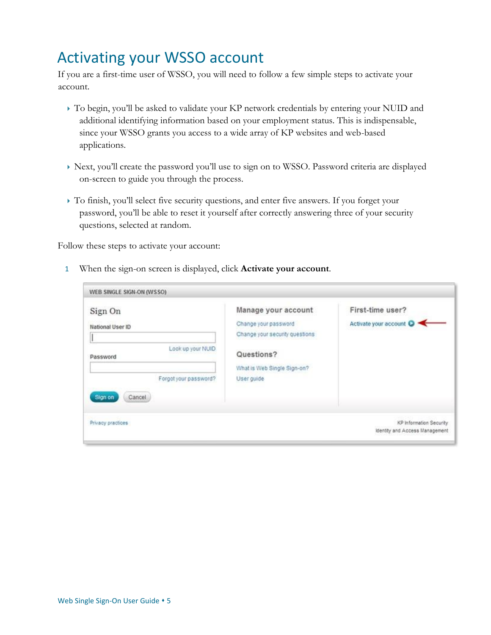# <span id="page-4-0"></span>Activating your WSSO account

If you are a first-time user of WSSO, you will need to follow a few simple steps to activate your account.

- To begin, you'll be asked to validate your KP network credentials by entering your NUID and additional identifying information based on your employment status. This is indispensable, since your WSSO grants you access to a wide array of KP websites and web-based applications.
- Next, you'll create the password you'll use to sign on to WSSO. Password criteria are displayed on-screen to guide you through the process.
- To finish, you'll select five security questions, and enter five answers. If you forget your password, you'll be able to reset it yourself after correctly answering three of your security questions, selected at random.

Follow these steps to activate your account:

1 When the sign-on screen is displayed, click **Activate your account**.

| Sign On<br>National User ID<br>Look up your NUID<br>Password<br>Forgot your password?<br>Sign on<br>Cancel | Manage your account<br>Change your password<br>Change your security questions<br>Questions?<br>What is Web Single Sign-on?<br>User guide | First-time user?<br>Activate your account |
|------------------------------------------------------------------------------------------------------------|------------------------------------------------------------------------------------------------------------------------------------------|-------------------------------------------|
| Privacy practices                                                                                          |                                                                                                                                          | KP Information Security                   |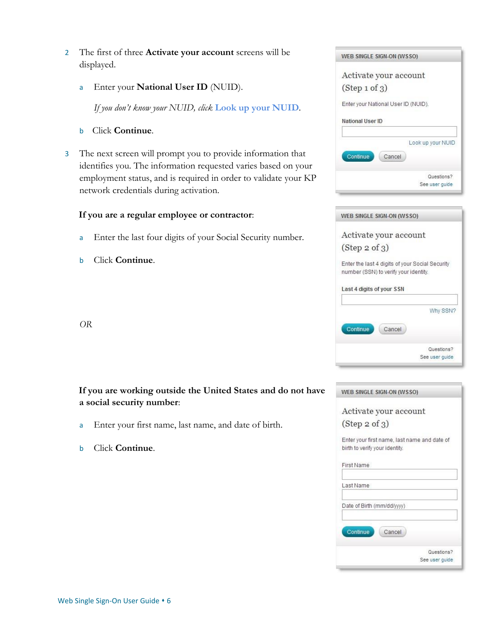- 2 The first of three **Activate your account** screens will be displayed.
	- a Enter your **National User ID** (NUID).

*If you don't know your NUID, click* **Look up your NUID***.* 

- bClick **Continue**.
- 3 The next screen will prompt you to provide information that identifies you. The information requested varies based on your employment status, and is required in order to validate your KP network credentials during activation.

### **If you are a regular employee or contractor**:

- a Enter the last four digits of your Social Security number.
- b Click **Continue**.

*OR* 

## **If you are working outside the United States and do not have a social security number**:

- a Enter your first name, last name, and date of birth.
- b Click **Continue**.



|               | Activate your account                                                                    |            |
|---------------|------------------------------------------------------------------------------------------|------------|
| (Step 2 of 3) |                                                                                          |            |
|               | Enter the last 4 digits of your Social Security<br>number (SSN) to verify your identity. |            |
|               | Last 4 digits of your SSN                                                                |            |
|               |                                                                                          | Why SSN?   |
| Continue      | Cancel                                                                                   |            |
|               |                                                                                          | Questions? |

|               | Activate your account                        |
|---------------|----------------------------------------------|
|               |                                              |
| (Step 2 of 3) |                                              |
|               | Enter your first name, last name and date of |
|               | birth to verify your identity.               |
| First Name    |                                              |
|               |                                              |
| Last Name     |                                              |
|               |                                              |
|               | Date of Birth (mm/dd/yyyy)                   |
|               |                                              |
| Continue      | Cancel                                       |
|               |                                              |
|               | Questions?                                   |
|               | See user quide                               |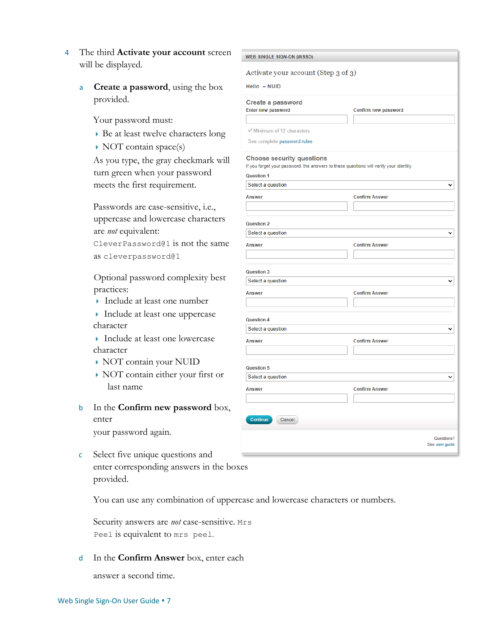- 4 The third **Activate your account** screen will be displayed.
	- a **Create a password**, using the box provided.

Your password must:

- Be at least twelve characters long
- $\rightarrow$  NOT contain space(s)

As you type, the gray checkmark will turn green when your password meets the first requirement.

Passwords are case-sensitive, i.e., uppercase and lowercase characters are *not* equivalent:

CleverPassword@1 is not the same as cleverpassword@1

Optional password complexity best practices:

- Include at least one number
- Include at least one uppercase character
- ▶ Include at least one lowercase character
- NOT contain your NUID
- NOT contain either your first or last name
- b In the **Confirm new password** box, enter your password again.
- c Select five unique questions and enter corresponding answers in the boxes provided.

You can use any combination of uppercase and lowercase characters or numbers.

Security answers are *not* case-sensitive. Mrs Peel is equivalent to mrs peel.

d In the **Confirm Answer** box, enter each

answer a second time.

| Activate your account (Step 3 of 3) |                                                                                        |
|-------------------------------------|----------------------------------------------------------------------------------------|
| Hello - NUID                        |                                                                                        |
| Create a password                   |                                                                                        |
| Enter new password                  | Confirm new password                                                                   |
|                                     |                                                                                        |
| Minimum of 12 characters            |                                                                                        |
| See complete password rules         |                                                                                        |
| <b>Choose security questions</b>    | If you forget your password, the answers to these questions will verify your identity. |
| <b>Question 1</b>                   |                                                                                        |
| Select a question                   | v                                                                                      |
| <b>Answer</b>                       | <b>Confirm Answer</b>                                                                  |
|                                     |                                                                                        |
| <b>Question 2</b>                   |                                                                                        |
| Select a question                   |                                                                                        |
| <b>Answer</b>                       | <b>Confirm Answer</b>                                                                  |
|                                     |                                                                                        |
|                                     |                                                                                        |
| Question 3                          |                                                                                        |
| Select a question                   | v                                                                                      |
| <b>Answer</b>                       | <b>Confirm Answer</b>                                                                  |
|                                     |                                                                                        |
| <b>Question 4</b>                   |                                                                                        |
| Select a question                   |                                                                                        |
| <b>Answer</b>                       | <b>Confirm Answer</b>                                                                  |
|                                     |                                                                                        |
| Question 5                          |                                                                                        |
| Select a question                   | v                                                                                      |
| <b>Answer</b>                       | <b>Confirm Answer</b>                                                                  |
|                                     |                                                                                        |
|                                     |                                                                                        |
| Continue<br>Cancel                  |                                                                                        |
|                                     |                                                                                        |
|                                     | Questions?                                                                             |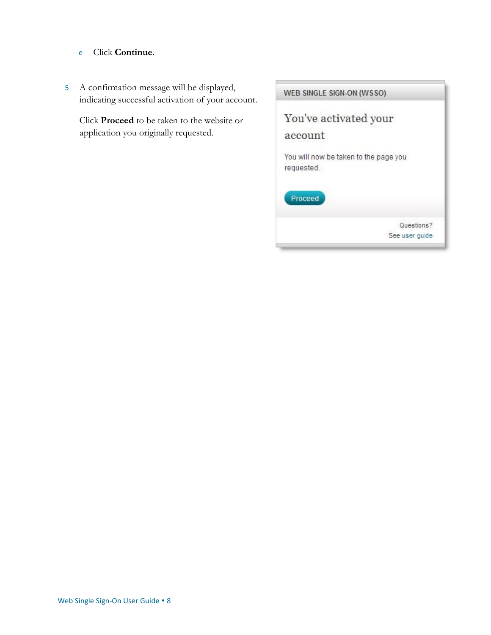- e Click **Continue**.
- 5 A confirmation message will be displayed, indicating successful activation of your account.

Click **Proceed** to be taken to the website or application you originally requested.

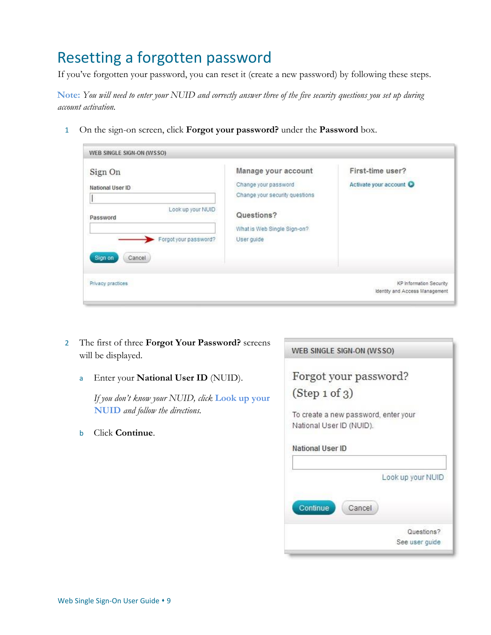# <span id="page-8-0"></span>Resetting a forgotten password

If you've forgotten your password, you can reset it (create a new password) by following these steps.

**Note:** *You will need to enter your NUID and correctly answer three of the five security questions you set up during account activation.* 

1 On the sign-on screen, click **Forgot your password?** under the **Password** box.

| Sign On                                | Manage your account                                    | First-time user?        |
|----------------------------------------|--------------------------------------------------------|-------------------------|
| National User ID                       | Change your password<br>Change your security questions | Activate your account   |
| Look up your NUID<br>Password          | Questions?                                             |                         |
| Forgot your password?                  | What is Web Single Sign-on?<br>User guide              |                         |
|                                        |                                                        |                         |
| Sign on<br>Cancel<br>Privacy practices |                                                        | KP Information Security |

- 2 The first of three **Forgot Your Password?** screens will be displayed.
	- a Enter your **National User ID** (NUID).

*If you don't know your NUID, click* **Look up your NUID** *and follow the directions.* 

b Click **Continue**.

|                          | Forgot your password?                |
|--------------------------|--------------------------------------|
| (Step 1 of 3)            |                                      |
| National User ID (NUID). | To create a new password, enter your |
| National User ID         |                                      |
|                          |                                      |
|                          | Look up your NUID                    |
| Continue                 | Cancel                               |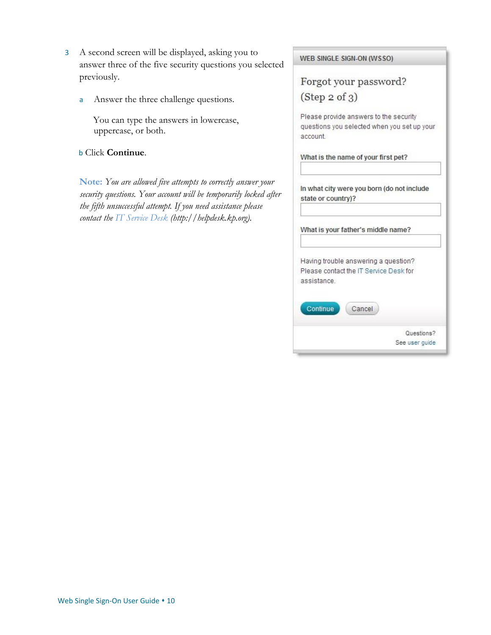- 3 A second screen will be displayed, asking you to answer three of the five security questions you selected previously.
	- a Answer the three challenge questions.

You can type the answers in lowercase, uppercase, or both.

### b Click **Continue**.

**Note:** *You are allowed five attempts to correctly answer your security questions. Your account will be temporarily locked after the fifth unsuccessful attempt. If you need assistance please contact the [IT Service Desk](http://helpdesk.kp.org/) [\(](http://helpdesk.kp.org/)http://helpdesk.kp.org).*

|                                  | Forgot your password?                       |
|----------------------------------|---------------------------------------------|
| (Step 2 of 3)                    |                                             |
|                                  |                                             |
|                                  | Please provide answers to the security      |
|                                  | questions you selected when you set up your |
| account                          |                                             |
|                                  | What is the name of your first pet?         |
|                                  |                                             |
|                                  |                                             |
|                                  | In what city were you born (do not include  |
|                                  |                                             |
|                                  |                                             |
|                                  |                                             |
|                                  | What is your father's middle name?          |
|                                  |                                             |
|                                  | Having trouble answering a question?        |
|                                  | Please contact the IT Service Desk for      |
|                                  |                                             |
| state or country)?<br>assistance |                                             |
| Continue                         | Cancel                                      |
|                                  | Questions?                                  |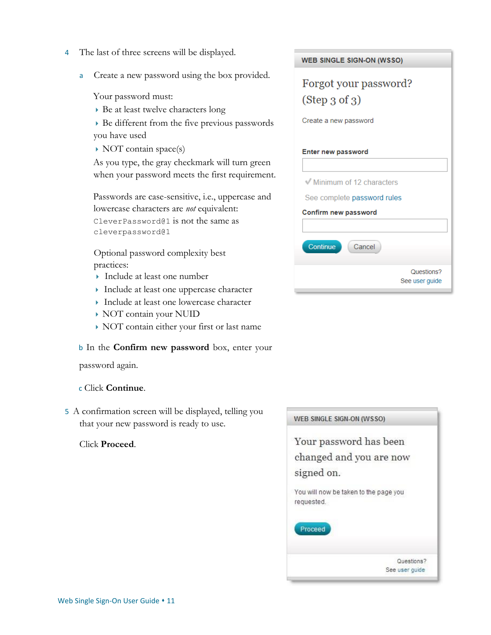- 4 The last of three screens will be displayed.
	- a Create a new password using the box provided.

Your password must:

- Be at least twelve characters long
- Be different from the five previous passwords you have used
- $\rightarrow$  NOT contain space(s)

As you type, the gray checkmark will turn green when your password meets the first requirement.

Passwords are case-sensitive, i.e., uppercase and lowercase characters are *not* equivalent: CleverPassword@1 is not the same as cleverpassword@1

Optional password complexity best practices:

- Include at least one number
- Include at least one uppercase character
- Include at least one lowercase character
- NOT contain your NUID
- NOT contain either your first or last name

b In the **Confirm new password** box, enter your

password again.

### c Click **Continue**.

5 A confirmation screen will be displayed, telling you that your new password is ready to use.

### Click **Proceed**.

| <b>WEB SINGLE SIGN-ON (WSSO)</b> |
|----------------------------------|
| Forgot your password?            |
| (Step 3 of 3)                    |
|                                  |
| Create a new password            |
|                                  |
| <b>Enter new password</b>        |
|                                  |
| Minimum of 12 characters         |
| See complete password rules      |
| Confirm new password             |
|                                  |
| <b>Continue</b><br>Cancel        |
|                                  |
| Questions?<br>See user guide     |

| WEB SINGLE SIGN-ON (WSSO)                           |                |
|-----------------------------------------------------|----------------|
| Your password has been                              |                |
| changed and you are now                             |                |
| signed on.                                          |                |
| You will now be taken to the page you<br>requested. |                |
| Proceed                                             |                |
|                                                     |                |
|                                                     | Questions?     |
|                                                     | See user quide |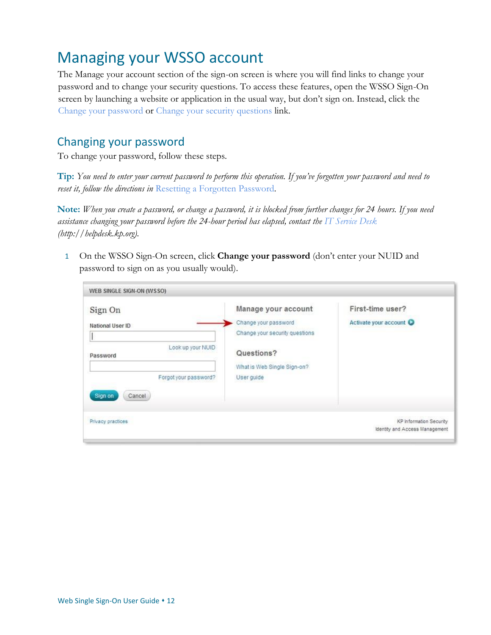# <span id="page-11-0"></span>Managing your WSSO account

The Manage your account section of the sign-on screen is where you will find links to change your password and to change your security questions. To access these features, open the WSSO Sign-On screen by launching a website or application in the usual way, but don't sign on. Instead, click the Change your password or Change your security questions link.

## <span id="page-11-1"></span>Changing your password

To change your password, follow these steps.

**Tip:** *You need to enter your current password to perform this operation. If you've forgotten your password and need to reset it, follow the directions in* Resetting a Forgotten Password*.* 

**Note:** *When you create a password, or change a password, it is blocked from further changes for 24 hours. If you need assistance changing your password before the 24-hour period has elapsed, contact the [IT Service Desk](http://helpdesk.kp.org/) (http://helpdesk.kp.org).* 

1 On the WSSO Sign-On screen, click **Change your password** (don't enter your NUID and password to sign on as you usually would).

| Sign On                                    | Manage your account                                    | First-time user?      |
|--------------------------------------------|--------------------------------------------------------|-----------------------|
| National User ID                           | Change your password<br>Change your security questions | Activate your account |
| Look up your NUID<br>Password              | Questions?<br>What is Web Single Sign-on?              |                       |
| Forgot your password?<br>Sign on<br>Cancel | User guide                                             |                       |
|                                            |                                                        |                       |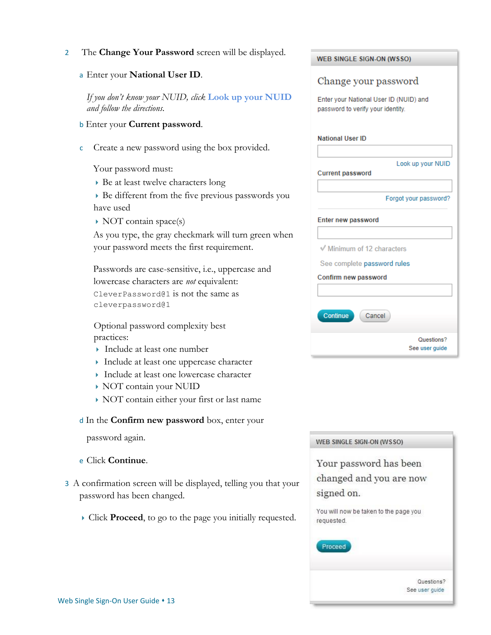### 2 The **Change Your Password** screen will be displayed.

a Enter your **National User ID**.

*If you don't know your NUID, click* **Look up your NUID** *and follow the directions.* 

- b Enter your **Current password**.
- c Create a new password using the box provided.

Your password must:

Be at least twelve characters long

 Be different from the five previous passwords you have used

 $\rightarrow$  NOT contain space(s)

As you type, the gray checkmark will turn green when your password meets the first requirement.

Passwords are case-sensitive, i.e., uppercase and lowercase characters are *not* equivalent: CleverPassword@1 is not the same as cleverpassword@1

Optional password complexity best practices:

- Include at least one number
- Include at least one uppercase character
- Include at least one lowercase character
- NOT contain your NUID
- NOT contain either your first or last name

### d In the **Confirm new password** box, enter your

password again.

- e Click **Continue**.
- 3 A confirmation screen will be displayed, telling you that your password has been changed.
	- Click **Proceed**, to go to the page you initially requested.

| <b>WEB SINGLE SIGN-ON (WSSO)</b>                                            |
|-----------------------------------------------------------------------------|
| Change your password                                                        |
| Enter your National User ID (NUID) and<br>password to verify your identity. |
| <b>National User ID</b>                                                     |
| Look up your NUID<br><b>Current password</b>                                |
| Forgot your password?                                                       |
| <b>Enter new password</b>                                                   |
| √ Minimum of 12 characters                                                  |
| See complete password rules                                                 |
| Confirm new password                                                        |
|                                                                             |
| Continue<br>Cancel                                                          |
| Questions?<br>See user guide                                                |

|            | Your password has been                |
|------------|---------------------------------------|
|            | changed and you are now               |
| signed on. |                                       |
| requested. | You will now be taken to the page you |
| Proceed    |                                       |
|            |                                       |
|            | Questions?                            |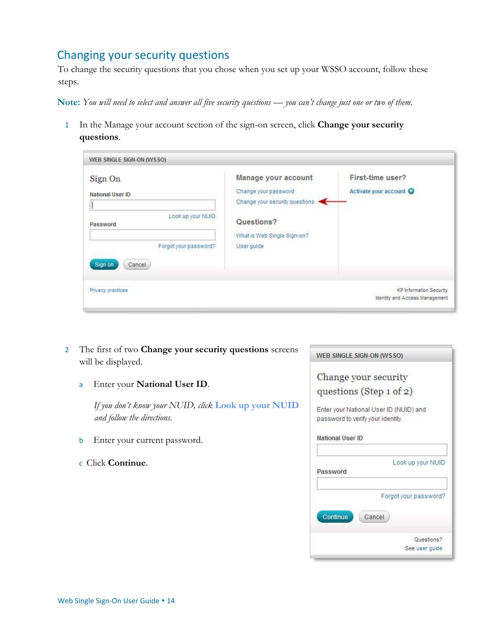## <span id="page-13-0"></span>Changing your security questions

To change the security questions that you chose when you set up your WSSO account, follow these steps.

**Note:** *You will need to select and answer all five security questions — you can't change just one or two of them.* 

1 In the Manage your account section of the sign-on screen, click **Change your security questions**.

| Sign On<br>National User ID<br>Look up your NUID<br>Password<br>Forgot your password? | Manage your account<br>Change your password<br>Change your security questions<br>Questions?<br>What is Web Single Sign-on?<br>User guide | First-time user?<br>Activate your account                 |
|---------------------------------------------------------------------------------------|------------------------------------------------------------------------------------------------------------------------------------------|-----------------------------------------------------------|
| Sign on<br>Cancel<br>Privacy practices                                                |                                                                                                                                          | KP Information Security<br>Identity and Access Management |

- 2 The first of two **Change your security questions** screens will be displayed.
	- a Enter your **National User ID**.

*If you don't know your NUID, click* **Look up your NUID** *and follow the directions.* 

- b Enter your current password.
- c Click **Continue**.

| WEB SINGLE SIGN-ON (WSSO)                                                   |                       |
|-----------------------------------------------------------------------------|-----------------------|
| Change your security                                                        |                       |
| questions (Step $1$ of $2$ )                                                |                       |
| Enter your National User ID (NUID) and<br>password to verify your identity. |                       |
| National User ID                                                            |                       |
| Password                                                                    | Look up your NUID     |
|                                                                             | Forgot your password? |

Cancel

Questions? See user guide

Continue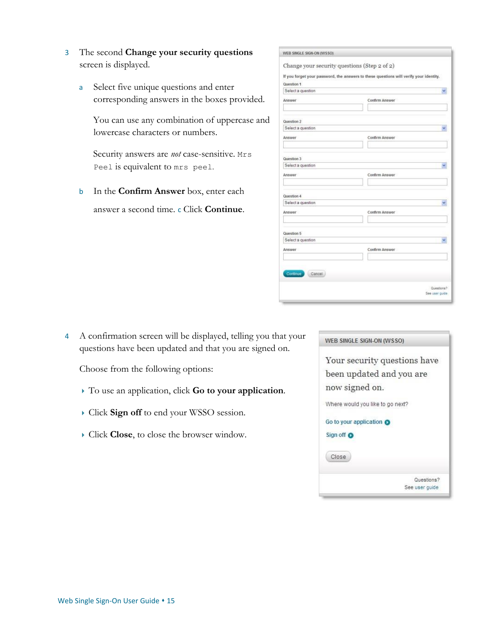- 3 The second **Change your security questions** screen is displayed.
	- a Select five unique questions and enter corresponding answers in the boxes provided.

You can use any combination of uppercase and lowercase characters or numbers.

Security answers are *not* case-sensitive. Mrs Peel is equivalent to mrs peel.

b In the **Confirm Answer** box, enter each answer a second time. c Click **Continue**.

|                                                                                        | Change your security questions (Step 2 of 2) |  |
|----------------------------------------------------------------------------------------|----------------------------------------------|--|
|                                                                                        |                                              |  |
| If you forget your password, the answers to these questions will verify your identity. |                                              |  |
| Question 1                                                                             |                                              |  |
| Select a question                                                                      |                                              |  |
| Answer                                                                                 | Confirm Answer                               |  |
|                                                                                        |                                              |  |
| Question 2                                                                             |                                              |  |
| Select a question                                                                      |                                              |  |
| Answer                                                                                 | Confirm Answer                               |  |
|                                                                                        |                                              |  |
| Question 3                                                                             |                                              |  |
| Select a question                                                                      |                                              |  |
| Answer                                                                                 | Confirm Answer                               |  |
|                                                                                        |                                              |  |
| Question 4                                                                             |                                              |  |
| Select a question                                                                      |                                              |  |
| Answer                                                                                 | Confirm Answer                               |  |
|                                                                                        |                                              |  |
| Question 5                                                                             |                                              |  |
| Select a question                                                                      |                                              |  |
| Answer                                                                                 | Confirm Answer                               |  |
|                                                                                        |                                              |  |
|                                                                                        |                                              |  |
| Continue<br>Cancel                                                                     |                                              |  |
|                                                                                        | Questions?                                   |  |

4 A confirmation screen will be displayed, telling you that your questions have been updated and that you are signed on.

Choose from the following options:

- To use an application, click **Go to your application**.
- Click **Sign off** to end your WSSO session.
- Click **Close**, to close the browser window.

| WEB SINGLE SIGN-ON (WSSO)        |                              |
|----------------------------------|------------------------------|
|                                  | Your security questions have |
| been updated and you are         |                              |
| now signed on.                   |                              |
| Where would you like to go next? |                              |
| Go to your application O         |                              |
| Sign off <b>O</b>                |                              |
| Close                            |                              |
|                                  | Questions?                   |
|                                  | See user quide               |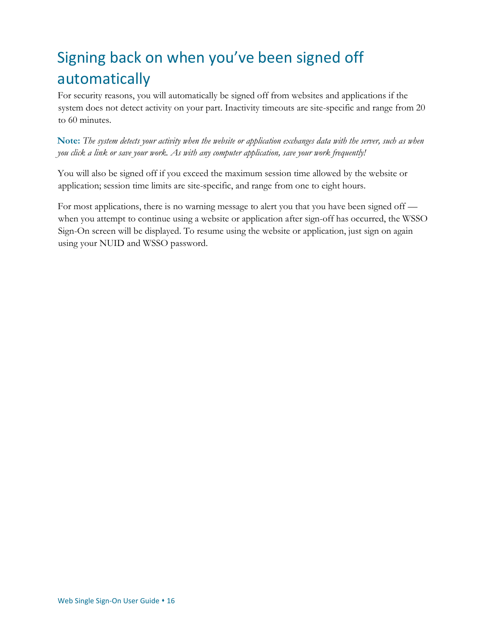# <span id="page-15-0"></span>Signing back on when you've been signed off automatically

For security reasons, you will automatically be signed off from websites and applications if the system does not detect activity on your part. Inactivity timeouts are site-specific and range from 20 to 60 minutes.

**Note:** *The system detects your activity when the website or application exchanges data with the server, such as when you click a link or save your work. As with any computer application, save your work frequently!* 

You will also be signed off if you exceed the maximum session time allowed by the website or application; session time limits are site-specific, and range from one to eight hours.

For most applications, there is no warning message to alert you that you have been signed off when you attempt to continue using a website or application after sign-off has occurred, the WSSO Sign-On screen will be displayed. To resume using the website or application, just sign on again using your NUID and WSSO password.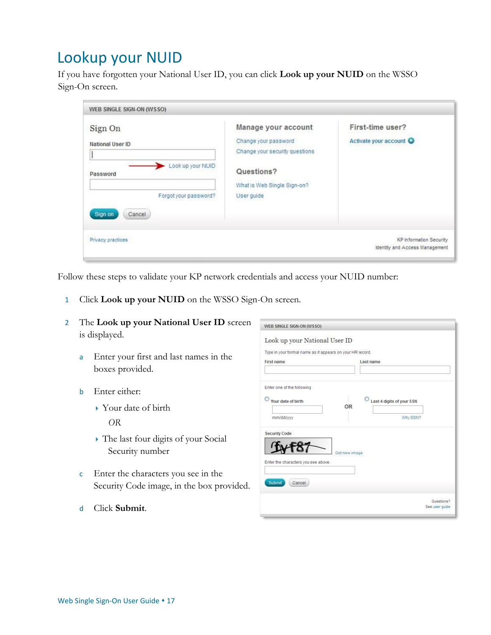# <span id="page-16-0"></span>Lookup your NUID

If you have forgotten your National User ID, you can click **Look up your NUID** on the WSSO Sign-On screen.

| Change your password<br>Change your security questions | Activate your account |
|--------------------------------------------------------|-----------------------|
|                                                        |                       |
| Questions?<br>What is Web Single Sign-on?              |                       |
| User guide                                             |                       |
|                                                        |                       |
|                                                        |                       |

Follow these steps to validate your KP network credentials and access your NUID number:

1 Click **Look up your NUID** on the WSSO Sign-On screen.

| The Look up your National User ID screen                                        | WEB SINGLE SIGN-ON (WSSO)                                                                                             |
|---------------------------------------------------------------------------------|-----------------------------------------------------------------------------------------------------------------------|
| is displayed.<br>Enter your first and last names in the<br>a<br>boxes provided. | Look up your National User ID<br>Type in your formal name as it appears on your HR record.<br>First name<br>Last name |
| Enter either:<br>b<br>$\rightarrow$ Your date of birth<br><i>OR</i>             | Enter one of the following<br>Your date of birth<br>Last 4 digits of your SSN<br><b>OR</b><br>mm/dd/yyyy<br>Why SSN?  |
| • The last four digits of your Social<br>Security number                        | <b>Security Code</b><br>Get new image<br>Enter the characters you see above.                                          |

- c Enter the characters you see in the Security Code image, in the box provided.
- Cancel Questions?<br>See user guide

d Click **Submit**.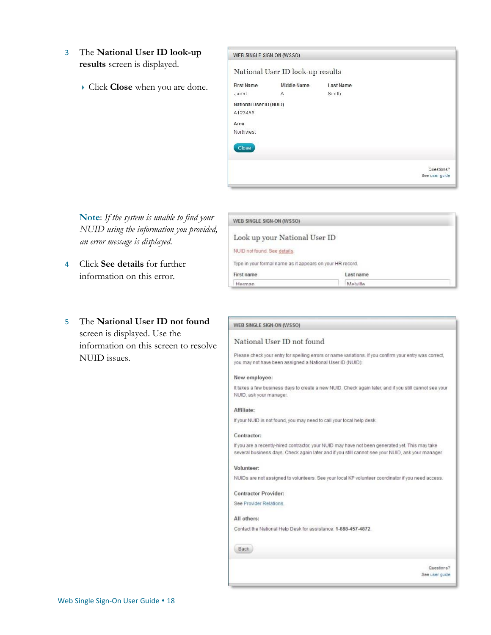- 3 The **National User ID look-up results** screen is displayed.
	- Click **Close** when you are done.

| WEB SINGLE SIGN-ON (WSSO)          |                                  |                           |                |
|------------------------------------|----------------------------------|---------------------------|----------------|
|                                    | National User ID look-up results |                           |                |
| <b>First Name</b><br>Janet         | Middle Name<br>Α                 | <b>Last Name</b><br>Smith |                |
| National User ID (NUID)<br>A123456 |                                  |                           |                |
| Area<br>Northwest                  |                                  |                           |                |
| <b>Close</b>                       |                                  |                           |                |
|                                    |                                  |                           | Questions?     |
|                                    |                                  |                           | See user quide |

**Note**: *If the system is unable to find your NUID using the information you provided, an error message is displayed.*

- 4 Click **See details** for further information on this error.
- 5 The **National User ID not found** screen is displayed. Use the information on this screen to resolve NUID issues.

| WEB SINGLE SIGN-ON (WSSO)                                 |           |  |
|-----------------------------------------------------------|-----------|--|
| Look up your National User ID                             |           |  |
| NUID not found. See details.                              |           |  |
| Type in your formal name as it appears on your HR record. |           |  |
| First name                                                | Last name |  |
| Herman                                                    | Molvilla  |  |

|  | WEB SINGLE SIGN-ON (WSSO) |  |
|--|---------------------------|--|

#### National User ID not found

Please check your entry for spelling errors or name variations. If you confirm your entry was correct, you may not have been assigned a National User ID (NUID):

#### New employee:

It takes a few business days to create a new NUID. Check again later, and if you still cannot see your NUID, ask your manager.

#### Affiliate:

If your NUID is not found, you may need to call your local help desk.

#### Contractor:

If you are a recently-hired contractor, your NUID may have not been generated yet. This may take several business days. Check again later and if you still cannot see your NUID, ask your manager.

#### Volunteer:

NUIDs are not assigned to volunteers. See your local KP volunteer coordinator if you need access.

**Contractor Provider:** 

See Provider Relations.

#### All others:

Contact the National Help Desk for assistance: 1-888-457-4872.

#### Back

Questions? See user guide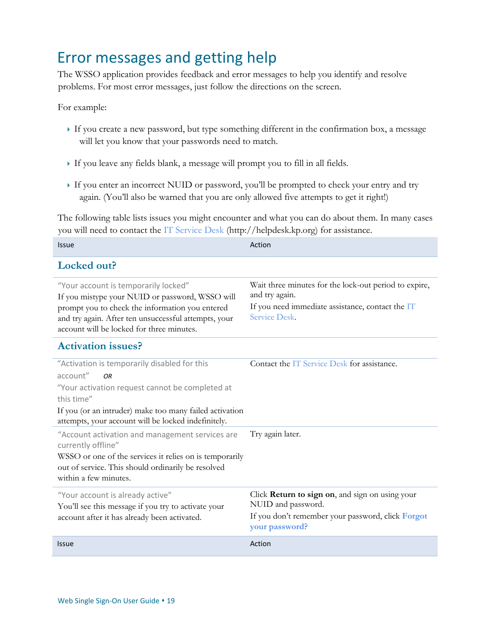# <span id="page-18-0"></span>Error messages and getting help

The WSSO application provides feedback and error messages to help you identify and resolve problems. For most error messages, just follow the directions on the screen.

For example:

- If you create a new password, but type something different in the confirmation box, a message will let you know that your passwords need to match.
- If you leave any fields blank, a message will prompt you to fill in all fields.
- If you enter an incorrect NUID or password, you'll be prompted to check your entry and try again. (You'll also be warned that you are only allowed five attempts to get it right!)

The following table lists issues you might encounter and what you can do about them. In many cases you will need to contact the [IT Service Desk](http://helpdesk.kp.org/) (http:*//*helpdesk.kp.org) for assistance.

| you will need to contact the 11 between Desir (http://neipacon.np.org/ for assistance.                                                                                                                                                                   |                                                                                                                                              |  |  |  |
|----------------------------------------------------------------------------------------------------------------------------------------------------------------------------------------------------------------------------------------------------------|----------------------------------------------------------------------------------------------------------------------------------------------|--|--|--|
| <b>Issue</b>                                                                                                                                                                                                                                             | Action                                                                                                                                       |  |  |  |
| Locked out?                                                                                                                                                                                                                                              |                                                                                                                                              |  |  |  |
| "Your account is temporarily locked"<br>If you mistype your NUID or password, WSSO will<br>prompt you to check the information you entered<br>and try again. After ten unsuccessful attempts, your<br>account will be locked for three minutes.          | Wait three minutes for the lock-out period to expire,<br>and try again.<br>If you need immediate assistance, contact the IT<br>Service Desk. |  |  |  |
| <b>Activation issues?</b>                                                                                                                                                                                                                                |                                                                                                                                              |  |  |  |
| "Activation is temporarily disabled for this<br>account"<br><b>OR</b><br>"Your activation request cannot be completed at<br>this time"<br>If you (or an intruder) make too many failed activation<br>attempts, your account will be locked indefinitely. | Contact the IT Service Desk for assistance.                                                                                                  |  |  |  |
| "Account activation and management services are<br>currently offline"<br>WSSO or one of the services it relies on is temporarily<br>out of service. This should ordinarily be resolved<br>within a few minutes.                                          | Try again later.                                                                                                                             |  |  |  |
| "Your account is already active"<br>You'll see this message if you try to activate your<br>account after it has already been activated.                                                                                                                  | Click Return to sign on, and sign on using your<br>NUID and password.<br>If you don't remember your password, click Forgot<br>your password? |  |  |  |
| <b>Issue</b>                                                                                                                                                                                                                                             | Action                                                                                                                                       |  |  |  |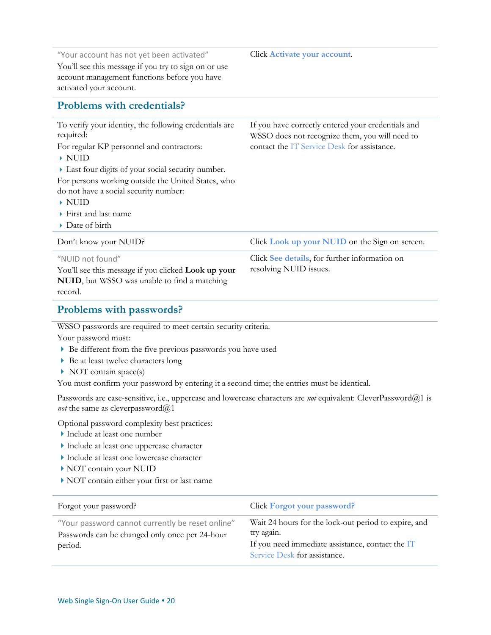| "Your account has not yet been activated"<br>You'll see this message if you try to sign on or use<br>account management functions before you have<br>activated your account.                                                                                                                                               | Click Activate your account.                                                                                                                        |
|----------------------------------------------------------------------------------------------------------------------------------------------------------------------------------------------------------------------------------------------------------------------------------------------------------------------------|-----------------------------------------------------------------------------------------------------------------------------------------------------|
| <b>Problems with credentials?</b>                                                                                                                                                                                                                                                                                          |                                                                                                                                                     |
| To verify your identity, the following credentials are<br>required:<br>For regular KP personnel and contractors:<br>$\triangleright$ NUID<br>Last four digits of your social security number.<br>For persons working outside the United States, who<br>do not have a social security number:<br>$\blacktriangleright$ NUID | If you have correctly entered your credentials and<br>WSSO does not recognize them, you will need to<br>contact the IT Service Desk for assistance. |
| $\triangleright$ First and last name                                                                                                                                                                                                                                                                                       |                                                                                                                                                     |
| Date of birth                                                                                                                                                                                                                                                                                                              |                                                                                                                                                     |
|                                                                                                                                                                                                                                                                                                                            |                                                                                                                                                     |
| Don't know your NUID?                                                                                                                                                                                                                                                                                                      | Click Look up your NUID on the Sign on screen.                                                                                                      |
| "NUID not found"<br>You'll see this message if you clicked Look up your<br>NUID, but WSSO was unable to find a matching<br>record.                                                                                                                                                                                         | Click See details, for further information on<br>resolving NUID issues.                                                                             |
| Problems with passwords?                                                                                                                                                                                                                                                                                                   |                                                                                                                                                     |
| WSSO passwords are required to meet certain security criteria.<br>Your password must:<br>Be different from the five previous passwords you have used<br>Be at least twelve characters long                                                                                                                                 |                                                                                                                                                     |

NOT contain space(s)

You must confirm your password by entering it a second time; the entries must be identical.

Passwords are case-sensitive, i.e., uppercase and lowercase characters are *not* equivalent: CleverPassword@1 is *not* the same as cleverpassword@1

Optional password complexity best practices:

- Include at least one number
- Include at least one uppercase character
- Include at least one lowercase character
- NOT contain your NUID
- NOT contain either your first or last name

| Forgot your password?                                                                                         | Click Forgot your password?                                                                                                                            |
|---------------------------------------------------------------------------------------------------------------|--------------------------------------------------------------------------------------------------------------------------------------------------------|
| "Your password cannot currently be reset online"<br>Passwords can be changed only once per 24-hour<br>period. | Wait 24 hours for the lock-out period to expire, and<br>try again.<br>If you need immediate assistance, contact the IT<br>Service Desk for assistance. |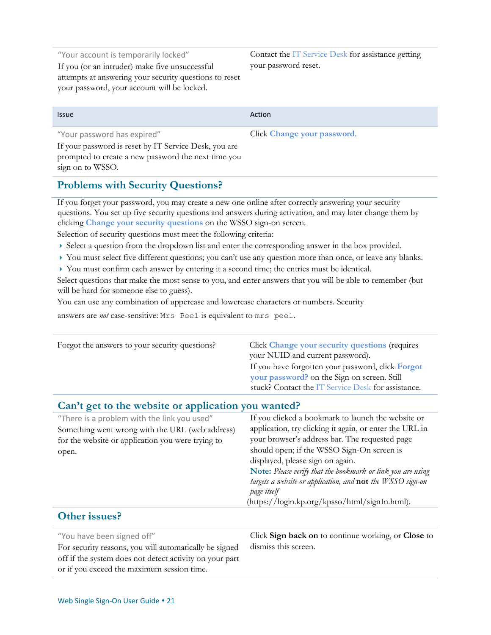"Your account is temporarily locked" If you (or an intruder) make five unsuccessful attempts at answering your security questions to reset your password, your account will be locked.

Contact the [IT Service Desk](http://helpdesk.kp.org/) for assistance getting your password reset.

Issue Action and the Community of the Community of the Action Action

### "Your password has expired"

Click **Change your password**.

If your password is reset by IT Service Desk, you are prompted to create a new password the next time you sign on to WSSO.

### **Problems with Security Questions?**

If you forget your password, you may create a new one online after correctly answering your security questions. You set up five security questions and answers during activation, and may later change them by clicking **Change your security questions** on the WSSO sign-on screen.

Selection of security questions must meet the following criteria:

- Select a question from the dropdown list and enter the corresponding answer in the box provided.
- ▶ You must select five different questions; you can't use any question more than once, or leave any blanks.
- You must confirm each answer by entering it a second time; the entries must be identical.

Select questions that make the most sense to you, and enter answers that you will be able to remember (but will be hard for someone else to guess).

You can use any combination of uppercase and lowercase characters or numbers. Security

answers are *not* case-sensitive: Mrs Peel is equivalent to mrs peel.

| Forgot the answers to your security questions?                                                                                                               | Click Change your security questions (requires<br>your NUID and current password).<br>If you have forgotten your password, click Forgot<br>your password? on the Sign on screen. Still<br>stuck? Contact the IT Service Desk for assistance.                                                                                                                                                                                                        |  |
|--------------------------------------------------------------------------------------------------------------------------------------------------------------|-----------------------------------------------------------------------------------------------------------------------------------------------------------------------------------------------------------------------------------------------------------------------------------------------------------------------------------------------------------------------------------------------------------------------------------------------------|--|
| Can't get to the website or application you wanted?                                                                                                          |                                                                                                                                                                                                                                                                                                                                                                                                                                                     |  |
| "There is a problem with the link you used"<br>Something went wrong with the URL (web address)<br>for the website or application you were trying to<br>open. | If you clicked a bookmark to launch the website or<br>application, try clicking it again, or enter the URL in<br>your browser's address bar. The requested page<br>should open; if the WSSO Sign-On screen is<br>displayed, please sign on again.<br>Note: Please verify that the bookmark or link you are using<br>targets a website or application, and $not$ the $WSSO$ sign-on<br>page itself<br>(https://login.kp.org/kpsso/html/signIn.html). |  |

### **Other issues?**

| "You have been signed off"                              | Click Sign back on to continue working, or Close to |
|---------------------------------------------------------|-----------------------------------------------------|
| For security reasons, you will automatically be signed  | dismiss this screen.                                |
| off if the system does not detect activity on your part |                                                     |
| or if you exceed the maximum session time.              |                                                     |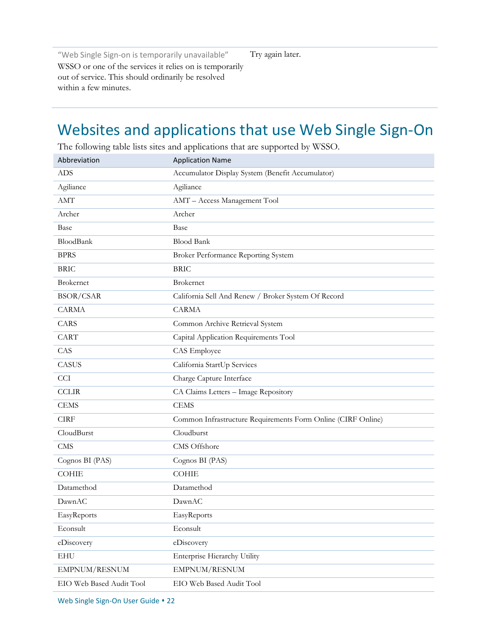"Web Single Sign-on is temporarily unavailable" WSSO or one of the services it relies on is temporarily out of service. This should ordinarily be resolved within a few minutes.

Try again later.

# <span id="page-21-0"></span>Websites and applications that use Web Single Sign-On

Abbreviation **Application Name** ADS Accumulator Display System (Benefit Accumulator) Agiliance Agiliance AMT AMT – Access Management Tool Archer Archer Base Base BloodBank Blood Bank BPRS Broker Performance Reporting System BRIC BRIC Brokernet Brokernet BSOR/CSAR California Sell And Renew / Broker System Of Record CARMA CARMA CARS Common Archive Retrieval System CART Capital Application Requirements Tool CAS CAS Employee CASUS California StartUp Services CCI Charge Capture Interface CCLIR CA Claims Letters – Image Repository CEMS CEMS CIRF Common Infrastructure Requirements Form Online (CIRF Online) CloudBurst Cloudburst CMS CMS Offshore Cognos BI (PAS) Cognos BI (PAS) COHIE COHIE Datamethod Datamethod DawnAC DawnAC EasyReports EasyReports Econsult Econsult eDiscovery eDiscovery EHU Enterprise Hierarchy Utility EMPNUM/RESNUM EMPNUM/RESNUM EIO Web Based Audit Tool EIO Web Based Audit Tool

The following table lists sites and applications that are supported by WSSO.

Web Single Sign-On User Guide • 22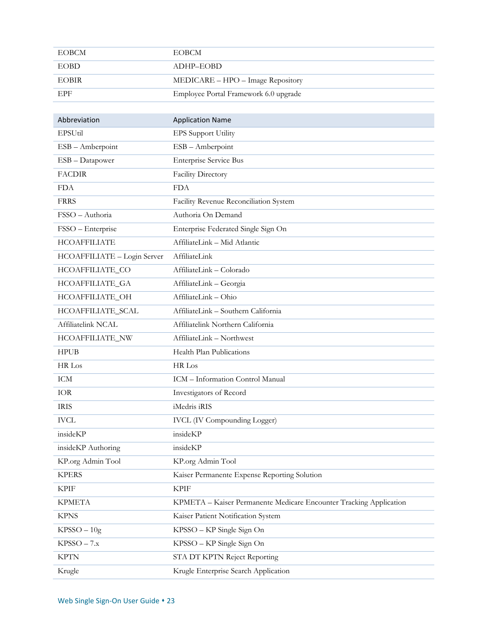| EOBCM       | <b>EOBCM</b>                          |
|-------------|---------------------------------------|
| <b>EOBD</b> | ADHP-EOBD                             |
| EOBIR-      | MEDICARE – HPO – Image Repository     |
| EPF         | Employee Portal Framework 6.0 upgrade |

| Abbreviation                | <b>Application Name</b>                                            |
|-----------------------------|--------------------------------------------------------------------|
| EPSUtil                     | <b>EPS</b> Support Utility                                         |
| ESB - Amberpoint            | ESB - Amberpoint                                                   |
| ESB - Datapower             | <b>Enterprise Service Bus</b>                                      |
| <b>FACDIR</b>               | Facility Directory                                                 |
| <b>FDA</b>                  | <b>FDA</b>                                                         |
| <b>FRRS</b>                 | Facility Revenue Reconciliation System                             |
| FSSO - Authoria             | Authoria On Demand                                                 |
| FSSO - Enterprise           | Enterprise Federated Single Sign On                                |
| <b>HCOAFFILIATE</b>         | AffiliateLink - Mid Atlantic                                       |
| HCOAFFILIATE - Login Server | AffiliateLink                                                      |
| HCOAFFILIATE_CO             | AffiliateLink - Colorado                                           |
| HCOAFFILIATE_GA             | AffiliateLink - Georgia                                            |
| HCOAFFILIATE_OH             | AffiliateLink - Ohio                                               |
| HCOAFFILIATE_SCAL           | AffiliateLink - Southern California                                |
| Affiliatelink NCAL          | Affiliatelink Northern California                                  |
| HCOAFFILIATE_NW             | AffiliateLink - Northwest                                          |
| <b>HPUB</b>                 | Health Plan Publications                                           |
| HR Los                      | HR Los                                                             |
| <b>ICM</b>                  | ICM - Information Control Manual                                   |
| <b>IOR</b>                  | Investigators of Record                                            |
| <b>IRIS</b>                 | iMedris iRIS                                                       |
| <b>IVCL</b>                 | <b>IVCL</b> (IV Compounding Logger)                                |
| insideKP                    | insideKP                                                           |
| insideKP Authoring          | insideKP                                                           |
| KP.org Admin Tool           | KP.org Admin Tool                                                  |
| <b>KPERS</b>                | Kaiser Permanente Expense Reporting Solution                       |
| <b>KPIF</b>                 | <b>KPIF</b>                                                        |
| <b>KPMETA</b>               | KPMETA - Kaiser Permanente Medicare Encounter Tracking Application |
| <b>KPNS</b>                 | Kaiser Patient Notification System                                 |
| $KPSSO - 10g$               | KPSSO - KP Single Sign On                                          |
| $KPSSO - 7.x$               | KPSSO - KP Single Sign On                                          |
| <b>KPTN</b>                 | STA DT KPTN Reject Reporting                                       |
| Krugle                      | Krugle Enterprise Search Application                               |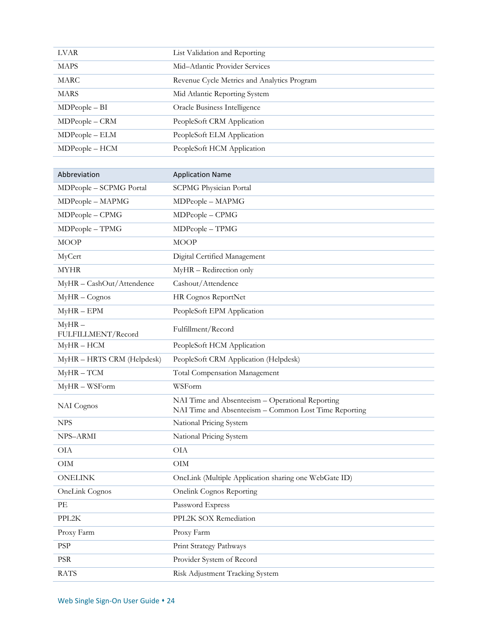| <b>LVAR</b>                    | List Validation and Reporting                                                                             |
|--------------------------------|-----------------------------------------------------------------------------------------------------------|
| <b>MAPS</b>                    | Mid-Atlantic Provider Services                                                                            |
| <b>MARC</b>                    | Revenue Cycle Metrics and Analytics Program                                                               |
| <b>MARS</b>                    | Mid Atlantic Reporting System                                                                             |
| $MDPeople - BI$                | Oracle Business Intelligence                                                                              |
| MDPeople - CRM                 | PeopleSoft CRM Application                                                                                |
| MDPeople - ELM                 | PeopleSoft ELM Application                                                                                |
| MDPeople - HCM                 | PeopleSoft HCM Application                                                                                |
|                                |                                                                                                           |
| Abbreviation                   | <b>Application Name</b>                                                                                   |
| MDPeople - SCPMG Portal        | <b>SCPMG Physician Portal</b>                                                                             |
| MDPeople - MAPMG               | MDPeople - MAPMG                                                                                          |
| MDPeople - CPMG                | MDPeople - CPMG                                                                                           |
| MDPeople - TPMG                | MDPeople - TPMG                                                                                           |
| <b>MOOP</b>                    | <b>MOOP</b>                                                                                               |
| MyCert                         | Digital Certified Management                                                                              |
| <b>MYHR</b>                    | MyHR - Redirection only                                                                                   |
| MyHR - CashOut/Attendence      | Cashout/Attendence                                                                                        |
| MyHR-Cognos                    | HR Cognos ReportNet                                                                                       |
| $MyHR - EPM$                   | PeopleSoft EPM Application                                                                                |
| $MyHR -$<br>FULFILLMENT/Record | Fulfillment/Record                                                                                        |
| $MyHR - HCM$                   | PeopleSoft HCM Application                                                                                |
| MyHR - HRTS CRM (Helpdesk)     | PeopleSoft CRM Application (Helpdesk)                                                                     |
| $MyHR - TCM$                   | Total Compensation Management                                                                             |
| MyHR-WSForm                    | WSForm                                                                                                    |
| NAI Cognos                     | NAI Time and Absenteeism - Operational Reporting<br>NAI Time and Absenteeism - Common Lost Time Reporting |
| <b>NPS</b>                     | National Pricing System                                                                                   |
| NPS-ARMI                       | National Pricing System                                                                                   |
| <b>OIA</b>                     | <b>OIA</b>                                                                                                |
| $\rm OIM$                      | $\rm OIM$                                                                                                 |
| <b>ONELINK</b>                 | OneLink (Multiple Application sharing one WebGate ID)                                                     |
| OneLink Cognos                 | <b>Onelink Cognos Reporting</b>                                                                           |
| PE                             | Password Express                                                                                          |
| PPL2K                          | PPL2K SOX Remediation                                                                                     |
| Proxy Farm                     | Proxy Farm                                                                                                |
| <b>PSP</b>                     | Print Strategy Pathways                                                                                   |
| $\ensuremath{\mathrm{PSR}}$    | Provider System of Record                                                                                 |
| <b>RATS</b>                    | Risk Adjustment Tracking System                                                                           |